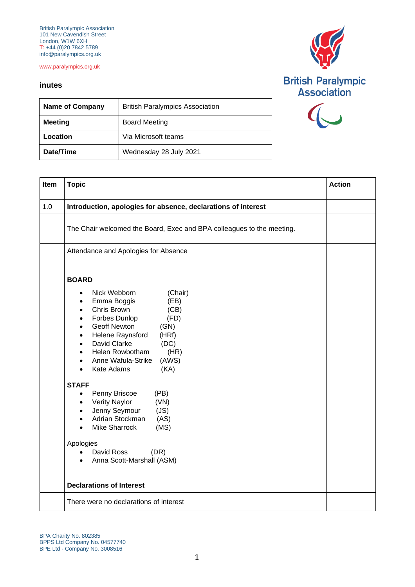British Paralympic Association 101 New Cavendish Street London, W1W 6XH T: +44 (0)20 7842 5789 [info@paralympics.org.uk](mailto:info@paralympics.org.uk)

www.paralympics.org.uk

## **inutes**



| ation |  |
|-------|--|
|       |  |
|       |  |

| <b>Name of Company</b> | <b>British Paralympics Association</b> |
|------------------------|----------------------------------------|
| <b>Meeting</b>         | <b>Board Meeting</b>                   |
| Location               | Via Microsoft teams                    |
| Date/Time              | Wednesday 28 July 2021                 |

| Item | <b>Topic</b>                                                                                                                                                                                                                                                                                                                                                                                            | <b>Action</b> |
|------|---------------------------------------------------------------------------------------------------------------------------------------------------------------------------------------------------------------------------------------------------------------------------------------------------------------------------------------------------------------------------------------------------------|---------------|
| 1.0  | Introduction, apologies for absence, declarations of interest                                                                                                                                                                                                                                                                                                                                           |               |
|      | The Chair welcomed the Board, Exec and BPA colleagues to the meeting.                                                                                                                                                                                                                                                                                                                                   |               |
|      | Attendance and Apologies for Absence                                                                                                                                                                                                                                                                                                                                                                    |               |
|      | <b>BOARD</b><br>Nick Webborn<br>(Chair)<br>$\bullet$<br>Emma Boggis<br>(EB)<br>$\bullet$<br>Chris Brown<br>(CB)<br>$\bullet$<br>Forbes Dunlop<br>(FD)<br>$\bullet$<br><b>Geoff Newton</b><br>(GN)<br>$\bullet$<br>Helene Raynsford<br>(HRf)<br>$\bullet$<br>David Clarke<br>(DC)<br>$\bullet$<br>Helen Rowbotham<br>(HR)<br>$\bullet$<br>(AWS)<br>Anne Wafula-Strike<br>$\bullet$<br>Kate Adams<br>(KA) |               |
|      | <b>STAFF</b><br>Penny Briscoe<br>(PB)<br>$\bullet$<br><b>Verity Naylor</b><br>(VN)<br>$\bullet$<br>Jenny Seymour<br>(JS)<br>$\bullet$<br>Adrian Stockman<br>(AS)<br>$\bullet$<br><b>Mike Sharrock</b><br>(MS)<br>Apologies<br>David Ross<br>(DR)<br>$\bullet$<br>Anna Scott-Marshall (ASM)<br>$\bullet$                                                                                                 |               |
|      | <b>Declarations of Interest</b>                                                                                                                                                                                                                                                                                                                                                                         |               |
|      | There were no declarations of interest                                                                                                                                                                                                                                                                                                                                                                  |               |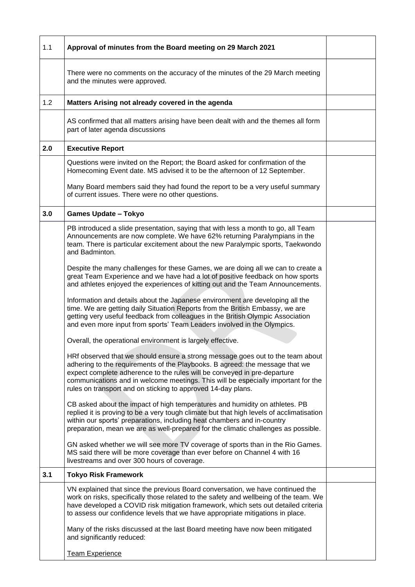| 1.1 | Approval of minutes from the Board meeting on 29 March 2021                                                                                                                                                                                                                                                                                                                                     |  |
|-----|-------------------------------------------------------------------------------------------------------------------------------------------------------------------------------------------------------------------------------------------------------------------------------------------------------------------------------------------------------------------------------------------------|--|
|     | There were no comments on the accuracy of the minutes of the 29 March meeting<br>and the minutes were approved.                                                                                                                                                                                                                                                                                 |  |
| 1.2 | Matters Arising not already covered in the agenda                                                                                                                                                                                                                                                                                                                                               |  |
|     | AS confirmed that all matters arising have been dealt with and the themes all form<br>part of later agenda discussions                                                                                                                                                                                                                                                                          |  |
| 2.0 | <b>Executive Report</b>                                                                                                                                                                                                                                                                                                                                                                         |  |
|     | Questions were invited on the Report; the Board asked for confirmation of the<br>Homecoming Event date. MS advised it to be the afternoon of 12 September.                                                                                                                                                                                                                                      |  |
|     | Many Board members said they had found the report to be a very useful summary<br>of current issues. There were no other questions.                                                                                                                                                                                                                                                              |  |
| 3.0 | <b>Games Update - Tokyo</b>                                                                                                                                                                                                                                                                                                                                                                     |  |
|     | PB introduced a slide presentation, saying that with less a month to go, all Team<br>Announcements are now complete. We have 62% returning Paralympians in the<br>team. There is particular excitement about the new Paralympic sports, Taekwondo<br>and Badminton.                                                                                                                             |  |
|     | Despite the many challenges for these Games, we are doing all we can to create a<br>great Team Experience and we have had a lot of positive feedback on how sports<br>and athletes enjoyed the experiences of kitting out and the Team Announcements.                                                                                                                                           |  |
|     | Information and details about the Japanese environment are developing all the<br>time. We are getting daily Situation Reports from the British Embassy, we are<br>getting very useful feedback from colleagues in the British Olympic Association<br>and even more input from sports' Team Leaders involved in the Olympics.                                                                    |  |
|     | Overall, the operational environment is largely effective.                                                                                                                                                                                                                                                                                                                                      |  |
|     | HRf observed that we should ensure a strong message goes out to the team about<br>adhering to the requirements of the Playbooks. B agreed: the message that we<br>expect complete adherence to the rules will be conveyed in pre-departure<br>communications and in welcome meetings. This will be especially important for the<br>rules on transport and on sticking to approved 14-day plans. |  |
|     | CB asked about the impact of high temperatures and humidity on athletes. PB<br>replied it is proving to be a very tough climate but that high levels of acclimatisation<br>within our sports' preparations, including heat chambers and in-country<br>preparation, mean we are as well-prepared for the climatic challenges as possible.                                                        |  |
|     | GN asked whether we will see more TV coverage of sports than in the Rio Games.<br>MS said there will be more coverage than ever before on Channel 4 with 16<br>livestreams and over 300 hours of coverage.                                                                                                                                                                                      |  |
| 3.1 | <b>Tokyo Risk Framework</b>                                                                                                                                                                                                                                                                                                                                                                     |  |
|     | VN explained that since the previous Board conversation, we have continued the<br>work on risks, specifically those related to the safety and wellbeing of the team. We<br>have developed a COVID risk mitigation framework, which sets out detailed criteria<br>to assess our confidence levels that we have appropriate mitigations in place.                                                 |  |
|     | Many of the risks discussed at the last Board meeting have now been mitigated<br>and significantly reduced:                                                                                                                                                                                                                                                                                     |  |
|     | <b>Team Experience</b>                                                                                                                                                                                                                                                                                                                                                                          |  |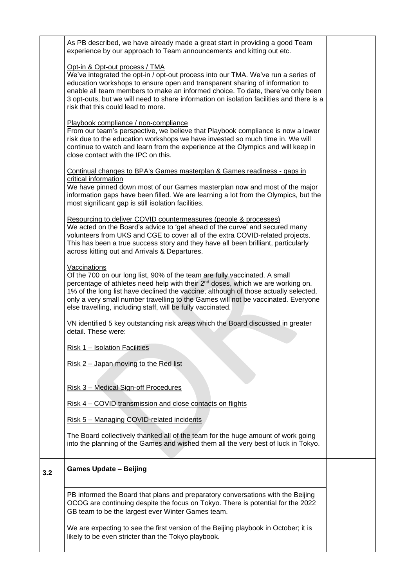|     | As PB described, we have already made a great start in providing a good Team<br>experience by our approach to Team announcements and kitting out etc.                                                                                                                                                                                                                                                                                |  |
|-----|--------------------------------------------------------------------------------------------------------------------------------------------------------------------------------------------------------------------------------------------------------------------------------------------------------------------------------------------------------------------------------------------------------------------------------------|--|
|     | Opt-in & Opt-out process / TMA<br>We've integrated the opt-in / opt-out process into our TMA. We've run a series of<br>education workshops to ensure open and transparent sharing of information to<br>enable all team members to make an informed choice. To date, there've only been<br>3 opt-outs, but we will need to share information on isolation facilities and there is a<br>risk that this could lead to more.             |  |
|     | Playbook compliance / non-compliance<br>From our team's perspective, we believe that Playbook compliance is now a lower<br>risk due to the education workshops we have invested so much time in. We will<br>continue to watch and learn from the experience at the Olympics and will keep in<br>close contact with the IPC on this.                                                                                                  |  |
|     | Continual changes to BPA's Games masterplan & Games readiness - gaps in<br>critical information<br>We have pinned down most of our Games masterplan now and most of the major<br>information gaps have been filled. We are learning a lot from the Olympics, but the<br>most significant gap is still isolation facilities.                                                                                                          |  |
|     | Resourcing to deliver COVID countermeasures (people & processes)<br>We acted on the Board's advice to 'get ahead of the curve' and secured many<br>volunteers from UKS and CGE to cover all of the extra COVID-related projects.<br>This has been a true success story and they have all been brilliant, particularly<br>across kitting out and Arrivals & Departures.                                                               |  |
|     | Vaccinations<br>Of the 700 on our long list, 90% of the team are fully vaccinated. A small<br>percentage of athletes need help with their 2 <sup>nd</sup> doses, which we are working on.<br>1% of the long list have declined the vaccine, although of those actually selected,<br>only a very small number travelling to the Games will not be vaccinated. Everyone<br>else travelling, including staff, will be fully vaccinated. |  |
|     | VN identified 5 key outstanding risk areas which the Board discussed in greater<br>detail. These were:                                                                                                                                                                                                                                                                                                                               |  |
|     | Risk 1 - Isolation Facilities                                                                                                                                                                                                                                                                                                                                                                                                        |  |
|     | <u>Risk 2 – Japan moving to the Red list</u>                                                                                                                                                                                                                                                                                                                                                                                         |  |
|     | <u>Risk 3 – Medical Sign-off Procedures</u>                                                                                                                                                                                                                                                                                                                                                                                          |  |
|     | Risk 4 – COVID transmission and close contacts on flights                                                                                                                                                                                                                                                                                                                                                                            |  |
|     | Risk 5 - Managing COVID-related incidents                                                                                                                                                                                                                                                                                                                                                                                            |  |
|     | The Board collectively thanked all of the team for the huge amount of work going<br>into the planning of the Games and wished them all the very best of luck in Tokyo.                                                                                                                                                                                                                                                               |  |
| 3.2 | <b>Games Update - Beijing</b>                                                                                                                                                                                                                                                                                                                                                                                                        |  |
|     | PB informed the Board that plans and preparatory conversations with the Beijing<br>OCOG are continuing despite the focus on Tokyo. There is potential for the 2022<br>GB team to be the largest ever Winter Games team.                                                                                                                                                                                                              |  |
|     | We are expecting to see the first version of the Beijing playbook in October; it is<br>likely to be even stricter than the Tokyo playbook.                                                                                                                                                                                                                                                                                           |  |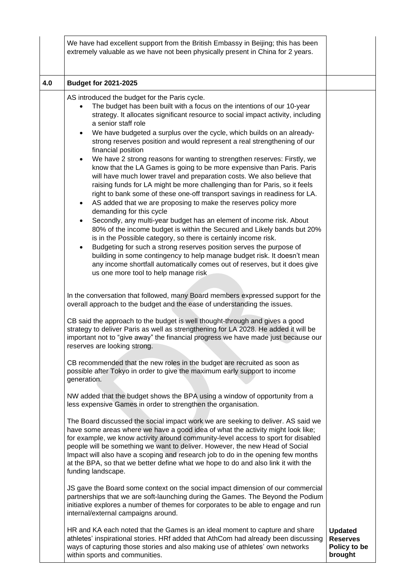|     | We have had excellent support from the British Embassy in Beijing; this has been<br>extremely valuable as we have not been physically present in China for 2 years.                                                                                                                                                                                                                                                                                                                                                                                                                                                                                                                                                                                                                                                                                                                                                                                                                                                                                                                                                                                                                                                                                                                                                                                                                                                                                                         |                                                              |
|-----|-----------------------------------------------------------------------------------------------------------------------------------------------------------------------------------------------------------------------------------------------------------------------------------------------------------------------------------------------------------------------------------------------------------------------------------------------------------------------------------------------------------------------------------------------------------------------------------------------------------------------------------------------------------------------------------------------------------------------------------------------------------------------------------------------------------------------------------------------------------------------------------------------------------------------------------------------------------------------------------------------------------------------------------------------------------------------------------------------------------------------------------------------------------------------------------------------------------------------------------------------------------------------------------------------------------------------------------------------------------------------------------------------------------------------------------------------------------------------------|--------------------------------------------------------------|
| 4.0 | <b>Budget for 2021-2025</b>                                                                                                                                                                                                                                                                                                                                                                                                                                                                                                                                                                                                                                                                                                                                                                                                                                                                                                                                                                                                                                                                                                                                                                                                                                                                                                                                                                                                                                                 |                                                              |
|     | AS introduced the budget for the Paris cycle.<br>The budget has been built with a focus on the intentions of our 10-year<br>strategy. It allocates significant resource to social impact activity, including<br>a senior staff role<br>We have budgeted a surplus over the cycle, which builds on an already-<br>$\bullet$<br>strong reserves position and would represent a real strengthening of our<br>financial position<br>We have 2 strong reasons for wanting to strengthen reserves: Firstly, we<br>$\bullet$<br>know that the LA Games is going to be more expensive than Paris. Paris<br>will have much lower travel and preparation costs. We also believe that<br>raising funds for LA might be more challenging than for Paris, so it feels<br>right to bank some of these one-off transport savings in readiness for LA.<br>AS added that we are proposing to make the reserves policy more<br>$\bullet$<br>demanding for this cycle<br>Secondly, any multi-year budget has an element of income risk. About<br>$\bullet$<br>80% of the income budget is within the Secured and Likely bands but 20%<br>is in the Possible category, so there is certainly income risk.<br>Budgeting for such a strong reserves position serves the purpose of<br>$\bullet$<br>building in some contingency to help manage budget risk. It doesn't mean<br>any income shortfall automatically comes out of reserves, but it does give<br>us one more tool to help manage risk |                                                              |
|     | In the conversation that followed, many Board members expressed support for the<br>overall approach to the budget and the ease of understanding the issues.<br>CB said the approach to the budget is well thought-through and gives a good<br>strategy to deliver Paris as well as strengthening for LA 2028. He added it will be<br>important not to "give away" the financial progress we have made just because our<br>reserves are looking strong.                                                                                                                                                                                                                                                                                                                                                                                                                                                                                                                                                                                                                                                                                                                                                                                                                                                                                                                                                                                                                      |                                                              |
|     | CB recommended that the new roles in the budget are recruited as soon as<br>possible after Tokyo in order to give the maximum early support to income<br>generation.                                                                                                                                                                                                                                                                                                                                                                                                                                                                                                                                                                                                                                                                                                                                                                                                                                                                                                                                                                                                                                                                                                                                                                                                                                                                                                        |                                                              |
|     | NW added that the budget shows the BPA using a window of opportunity from a<br>less expensive Games in order to strengthen the organisation.                                                                                                                                                                                                                                                                                                                                                                                                                                                                                                                                                                                                                                                                                                                                                                                                                                                                                                                                                                                                                                                                                                                                                                                                                                                                                                                                |                                                              |
|     | The Board discussed the social impact work we are seeking to deliver. AS said we<br>have some areas where we have a good idea of what the activity might look like;<br>for example, we know activity around community-level access to sport for disabled<br>people will be something we want to deliver. However, the new Head of Social<br>Impact will also have a scoping and research job to do in the opening few months<br>at the BPA, so that we better define what we hope to do and also link it with the<br>funding landscape.                                                                                                                                                                                                                                                                                                                                                                                                                                                                                                                                                                                                                                                                                                                                                                                                                                                                                                                                     |                                                              |
|     | JS gave the Board some context on the social impact dimension of our commercial<br>partnerships that we are soft-launching during the Games. The Beyond the Podium<br>initiative explores a number of themes for corporates to be able to engage and run<br>internal/external campaigns around.                                                                                                                                                                                                                                                                                                                                                                                                                                                                                                                                                                                                                                                                                                                                                                                                                                                                                                                                                                                                                                                                                                                                                                             |                                                              |
|     | HR and KA each noted that the Games is an ideal moment to capture and share<br>athletes' inspirational stories. HRf added that AthCom had already been discussing<br>ways of capturing those stories and also making use of athletes' own networks<br>within sports and communities.                                                                                                                                                                                                                                                                                                                                                                                                                                                                                                                                                                                                                                                                                                                                                                                                                                                                                                                                                                                                                                                                                                                                                                                        | <b>Updated</b><br><b>Reserves</b><br>Policy to be<br>brought |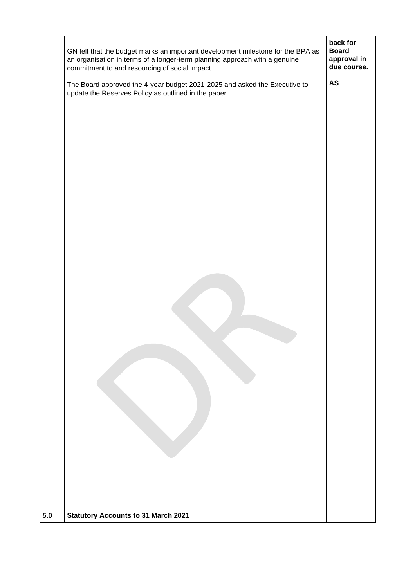